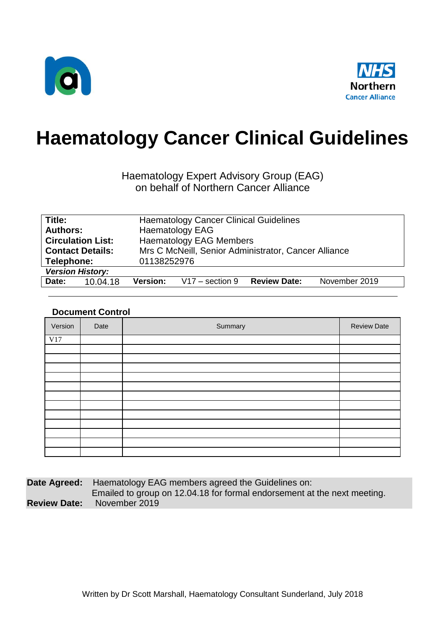



# **Haematology Cancer Clinical Guidelines**

Haematology Expert Advisory Group (EAG) on behalf of Northern Cancer Alliance

| Title:                    | <b>Haematology Cancer Clinical Guidelines</b>                                |  |  |
|---------------------------|------------------------------------------------------------------------------|--|--|
| <b>Authors:</b>           | <b>Haematology EAG</b>                                                       |  |  |
| <b>Circulation List:</b>  | <b>Haematology EAG Members</b>                                               |  |  |
| <b>Contact Details:</b>   | Mrs C McNeill, Senior Administrator, Cancer Alliance                         |  |  |
| Telephone:<br>01138252976 |                                                                              |  |  |
| <b>Version History:</b>   |                                                                              |  |  |
| Date:<br>10.04.18         | <b>Review Date:</b><br><b>Version:</b><br>November 2019<br>$V17 - section 9$ |  |  |

#### **Document Control**

| Version | Date | Summary | <b>Review Date</b> |
|---------|------|---------|--------------------|
| V17     |      |         |                    |
|         |      |         |                    |
|         |      |         |                    |
|         |      |         |                    |
|         |      |         |                    |
|         |      |         |                    |
|         |      |         |                    |
|         |      |         |                    |
|         |      |         |                    |
|         |      |         |                    |
|         |      |         |                    |
|         |      |         |                    |
|         |      |         |                    |

**Date Agreed:** Haematology EAG members agreed the Guidelines on: Emailed to group on 12.04.18 for formal endorsement at the next meeting. **Review Date:** November 2019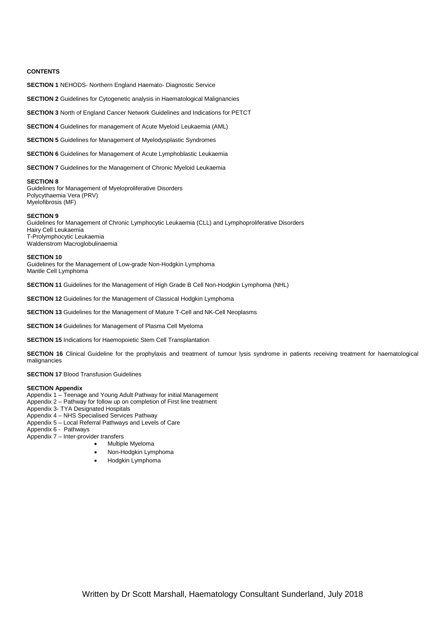#### **CONTENTS**

**SECTION 1** NEHODS- Northern England Haemato- Diagnostic Service

**SECTION 2** Guidelines for Cytogenetic analysis in Haematological Malignancies

**SECTION 3** North of England Cancer Network Guidelines and Indications for PETCT

**SECTION 4** Guidelines for management of Acute Myeloid Leukaemia (AML)

**SECTION 5** Guidelines for Management of Myelodysplastic Syndromes

**SECTION 6** Guidelines for Management of Acute Lymphoblastic Leukaemia

**SECTION 7** Guidelines for the Management of Chronic Myeloid Leukaemia

#### **SECTION 8**

Guidelines for Management of Myeloproliferative Disorders Polycythaemia Vera (PRV) Myelofibrosis (MF)

#### **SECTION 9**

Guidelines for Management of Chronic Lymphocytic Leukaemia (CLL) and Lymphoproliferative Disorders Hairy Cell Leukaemia T-Prolymphocytic Leukaemia Waldenstrom Macroglobulinaemia

#### **SECTION 10**

Guidelines for the Management of Low-grade Non-Hodgkin Lymphoma Mantle Cell Lymphoma

**SECTION 11** Guidelines for the Management of High Grade B Cell Non-Hodgkin Lymphoma (NHL)

**SECTION 12** Guidelines for the Management of Classical Hodgkin Lymphoma

**SECTION 13** Guidelines for the Management of Mature T-Cell and NK-Cell Neoplasms

**SECTION 14** Guidelines for Management of Plasma Cell Myeloma

**SECTION 15** Indications for Haemopoietic Stem Cell Transplantation

**SECTION 16** Clinical Guideline for the prophylaxis and treatment of tumour lysis syndrome in patients receiving treatment for haematological malignancies

#### **SECTION 17 Blood Transfusion Guidelines**

#### **SECTION Appendix**

- Appendix 1 Teenage and Young Adult Pathway for initial Management
- Appendix 2 Pathway for follow up on completion of First line treatment
- Appendix 3- TYA Designated Hospitals
- Appendix 4 NHS Specialised Services Pathway
- Appendix 5 Local Referral Pathways and Levels of Care
- Appendix 6 Pathways

Appendix 7 – Inter-provider transfers

- Multiple Myeloma
- Non-Hodgkin Lymphoma
- Hodgkin Lymphoma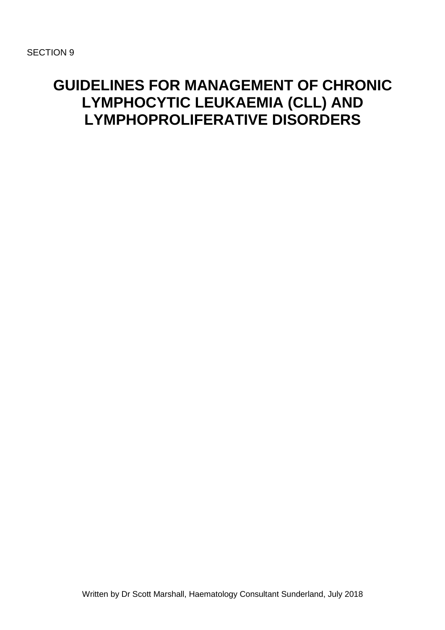## **GUIDELINES FOR MANAGEMENT OF CHRONIC LYMPHOCYTIC LEUKAEMIA (CLL) AND LYMPHOPROLIFERATIVE DISORDERS**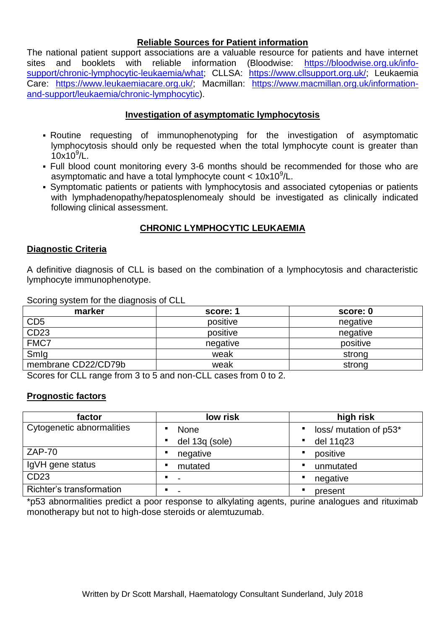#### **Reliable Sources for Patient information**

The national patient support associations are a valuable resource for patients and have internet sites and booklets with reliable information (Bloodwise: [https://bloodwise.org.uk/info](https://bloodwise.org.uk/info-support/chronic-lymphocytic-leukaemia/what)[support/chronic-lymphocytic-leukaemia/what;](https://bloodwise.org.uk/info-support/chronic-lymphocytic-leukaemia/what) CLLSA: [https://www.cllsupport.org.uk/;](https://www.cllsupport.org.uk/) Leukaemia Care: [https://www.leukaemiacare.org.uk/;](https://www.leukaemiacare.org.uk/) Macmillan: [https://www.macmillan.org.uk/information](https://www.macmillan.org.uk/information-and-support/leukaemia/chronic-lymphocytic)[and-support/leukaemia/chronic-lymphocytic\)](https://www.macmillan.org.uk/information-and-support/leukaemia/chronic-lymphocytic).

#### **Investigation of asymptomatic lymphocytosis**

- Routine requesting of immunophenotyping for the investigation of asymptomatic lymphocytosis should only be requested when the total lymphocyte count is greater than 10x10<sup>9</sup> /L.
- Full blood count monitoring every 3-6 months should be recommended for those who are asymptomatic and have a total lymphocyte count  $<$  10x10 $^9$ /L.
- Symptomatic patients or patients with lymphocytosis and associated cytopenias or patients with lymphadenopathy/hepatosplenomealy should be investigated as clinically indicated following clinical assessment.

#### **CHRONIC LYMPHOCYTIC LEUKAEMIA**

#### **Diagnostic Criteria**

A definitive diagnosis of CLL is based on the combination of a lymphocytosis and characteristic lymphocyte immunophenotype.

Scoring system for the diagnosis of CLL

| score: 1 | score: 0 |
|----------|----------|
| positive | negative |
| positive | negative |
| negative | positive |
| weak     | strong   |
| weak     | strong   |
|          |          |

Scores for CLL range from 3 to 5 and non-CLL cases from 0 to 2.

#### **Prognostic factors**

| factor                    | low risk       | high risk                   |
|---------------------------|----------------|-----------------------------|
| Cytogenetic abnormalities | None           | loss/ mutation of p53*<br>٠ |
|                           | del 13q (sole) | del 11q23<br>٠              |
| $ZAP-70$                  | negative       | positive<br>٠               |
| IgVH gene status          | mutated        | unmutated<br>٠              |
| CD23                      |                | negative<br>$\blacksquare$  |
| Richter's transformation  |                | present<br>٠                |

\*p53 abnormalities predict a poor response to alkylating agents, purine analogues and rituximab monotherapy but not to high-dose steroids or alemtuzumab.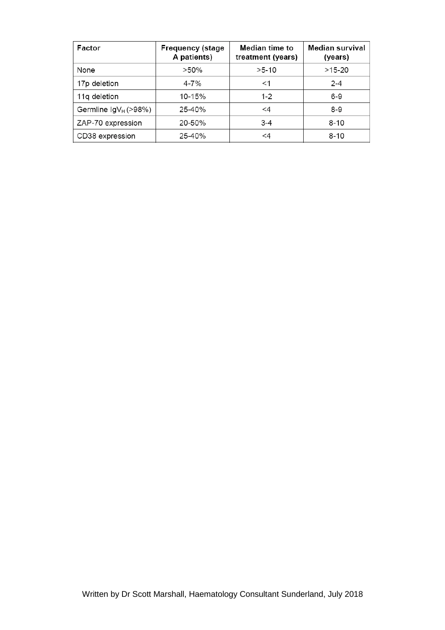| Factor                    | <b>Frequency (stage</b><br>A patients) | Median time to<br>treatment (years) | <b>Median survival</b><br>(years) |
|---------------------------|----------------------------------------|-------------------------------------|-----------------------------------|
| None                      | $>50\%$                                | $>5-10$                             | $>15-20$                          |
| 17p deletion              | $4 - 7\%$                              | $<$ 1                               | $2 - 4$                           |
| 11q deletion              | 10-15%                                 | $1 - 2$                             | $6-9$                             |
| Germline $\lg V_H$ (>98%) | 25-40%                                 | <4                                  | $8 - 9$                           |
| ZAP-70 expression         | 20-50%                                 | $3 - 4$                             | $8 - 10$                          |
| CD38 expression           | 25-40%                                 | <4                                  | $8 - 10$                          |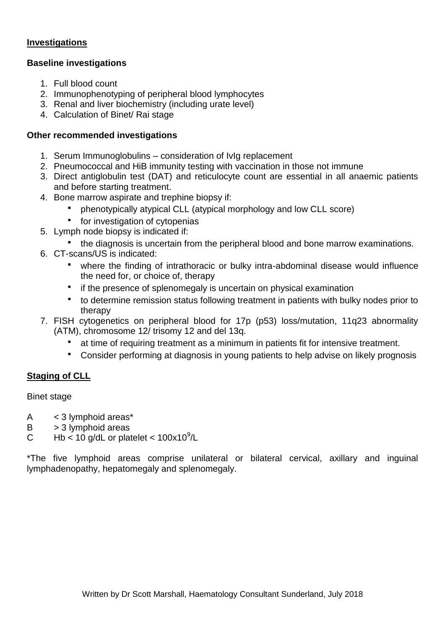#### **Investigations**

#### **Baseline investigations**

- 1. Full blood count
- 2. Immunophenotyping of peripheral blood lymphocytes
- 3. Renal and liver biochemistry (including urate level)
- 4. Calculation of Binet/ Rai stage

### **Other recommended investigations**

- 1. Serum Immunoglobulins consideration of IvIg replacement
- 2. Pneumococcal and HiB immunity testing with vaccination in those not immune
- 3. Direct antiglobulin test (DAT) and reticulocyte count are essential in all anaemic patients and before starting treatment.
- 4. Bone marrow aspirate and trephine biopsy if:
	- phenotypically atypical CLL (atypical morphology and low CLL score)
	- **for investigation of cytopenias**
- 5. Lymph node biopsy is indicated if:
	- the diagnosis is uncertain from the peripheral blood and bone marrow examinations.
- 6. CT-scans/US is indicated:
	- where the finding of intrathoracic or bulky intra-abdominal disease would influence the need for, or choice of, therapy
	- **F** if the presence of splenomegaly is uncertain on physical examination
	- to determine remission status following treatment in patients with bulky nodes prior to therapy
- 7. FISH cytogenetics on peripheral blood for 17p (p53) loss/mutation, 11q23 abnormality (ATM), chromosome 12/ trisomy 12 and del 13q.
	- at time of requiring treatment as a minimum in patients fit for intensive treatment.
	- Consider performing at diagnosis in young patients to help advise on likely prognosis

## **Staging of CLL**

Binet stage

- A < 3 lymphoid areas\*
- $B \rightarrow 3$  lymphoid areas
- C Hb < 10 g/dL or platelet <  $100x10^9$ /L

\*The five lymphoid areas comprise unilateral or bilateral cervical, axillary and inguinal lymphadenopathy, hepatomegaly and splenomegaly.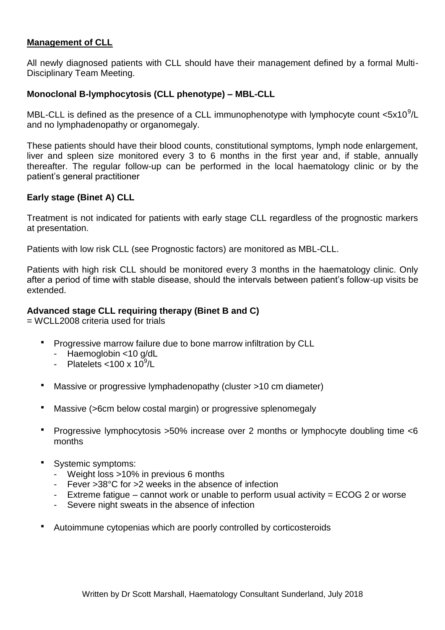#### **Management of CLL**

All newly diagnosed patients with CLL should have their management defined by a formal Multi-Disciplinary Team Meeting.

#### **Monoclonal B-lymphocytosis (CLL phenotype) – MBL-CLL**

MBL-CLL is defined as the presence of a CLL immunophenotype with lymphocyte count  $<5x10^9$ /L and no lymphadenopathy or organomegaly.

These patients should have their blood counts, constitutional symptoms, lymph node enlargement, liver and spleen size monitored every 3 to 6 months in the first year and, if stable, annually thereafter. The regular follow-up can be performed in the local haematology clinic or by the patient's general practitioner

#### **Early stage (Binet A) CLL**

Treatment is not indicated for patients with early stage CLL regardless of the prognostic markers at presentation.

Patients with low risk CLL (see Prognostic factors) are monitored as MBL-CLL.

Patients with high risk CLL should be monitored every 3 months in the haematology clinic. Only after a period of time with stable disease, should the intervals between patient's follow-up visits be extended.

#### **Advanced stage CLL requiring therapy (Binet B and C)**

= WCLL2008 criteria used for trials

- Progressive marrow failure due to bone marrow infiltration by CLL
	- Haemoglobin <10 g/dL
	- Platelets < $100 \times 10^9$ /L
- Massive or progressive lymphadenopathy (cluster >10 cm diameter)
- Massive (>6cm below costal margin) or progressive splenomegaly
- Progressive lymphocytosis >50% increase over 2 months or lymphocyte doubling time <6 months
- Systemic symptoms:
	- Weight loss >10% in previous 6 months
	- Fever >38°C for >2 weeks in the absence of infection
	- Extreme fatigue cannot work or unable to perform usual activity = ECOG 2 or worse
	- Severe night sweats in the absence of infection
- Autoimmune cytopenias which are poorly controlled by corticosteroids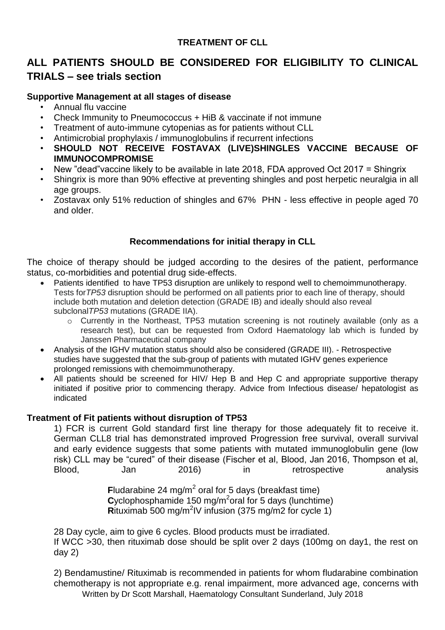### **TREATMENT OF CLL**

## **ALL PATIENTS SHOULD BE CONSIDERED FOR ELIGIBILITY TO CLINICAL TRIALS – see trials section**

#### **Supportive Management at all stages of disease**

- Annual flu vaccine
- Check Immunity to Pneumococcus + HiB & vaccinate if not immune
- Treatment of auto-immune cytopenias as for patients without CLL
- Antimicrobial prophylaxis / immunoglobulins if recurrent infections
- **SHOULD NOT RECEIVE FOSTAVAX (LIVE)SHINGLES VACCINE BECAUSE OF IMMUNOCOMPROMISE**
- New "dead"vaccine likely to be available in late 2018, FDA approved Oct 2017 = Shingrix
- Shingrix is more than 90% effective at preventing shingles and post herpetic neuralgia in all age groups.
- Zostavax only 51% reduction of shingles and 67% PHN less effective in people aged 70 and older.

#### **Recommendations for initial therapy in CLL**

The choice of therapy should be judged according to the desires of the patient, performance status, co-morbidities and potential drug side-effects.

- Patients identified to have TP53 disruption are unlikely to respond well to chemoimmunotherapy. Tests for*TP53* disruption should be performed on all patients prior to each line of therapy, should include both mutation and deletion detection (GRADE IB) and ideally should also reveal subclonal*TP53* mutations (GRADE IIA).
	- o Currently in the Northeast, TP53 mutation screening is not routinely available (only as a research test), but can be requested from Oxford Haematology lab which is funded by Janssen Pharmaceutical company
- Analysis of the IGHV mutation status should also be considered (GRADE III). Retrospective studies have suggested that the sub‐group of patients with mutated IGHV genes experience prolonged remissions with chemoimmunotherapy.
- All patients should be screened for HIV/ Hep B and Hep C and appropriate supportive therapy initiated if positive prior to commencing therapy. Advice from Infectious disease/ hepatologist as indicated

#### **Treatment of Fit patients without disruption of TP53**

1) FCR is current Gold standard first line therapy for those adequately fit to receive it. German CLL8 trial has demonstrated improved Progression free survival, overall survival and early evidence suggests that some patients with mutated immunoglobulin gene (low risk) CLL may be "cured" of their disease (Fischer et al, Blood, Jan 2016, Thompson et al, Blood, Jan 2016) in retrospective analysis

> Fludarabine 24 mg/m<sup>2</sup> oral for 5 days (breakfast time) Cyclophosphamide 150 mg/m<sup>2</sup>oral for 5 days (lunchtime) Rituximab 500 mg/m<sup>2</sup>IV infusion (375 mg/m2 for cycle 1)

28 Day cycle, aim to give 6 cycles. Blood products must be irradiated. If WCC >30, then rituximab dose should be split over 2 days (100mg on day1, the rest on day 2)

Written by Dr Scott Marshall, Haematology Consultant Sunderland, July 2018 2) Bendamustine/ Rituximab is recommended in patients for whom fludarabine combination chemotherapy is not appropriate e.g. renal impairment, more advanced age, concerns with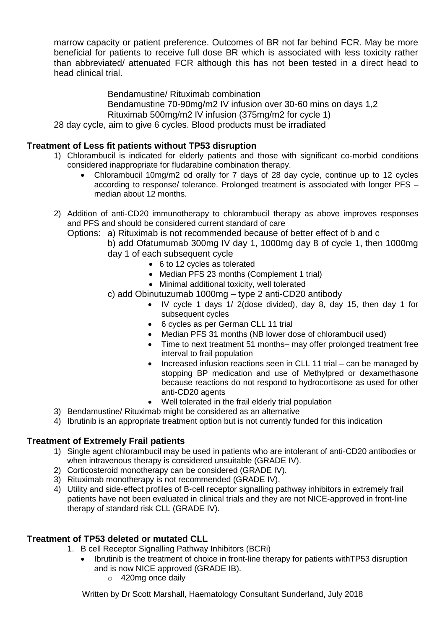marrow capacity or patient preference. Outcomes of BR not far behind FCR. May be more beneficial for patients to receive full dose BR which is associated with less toxicity rather than abbreviated/ attenuated FCR although this has not been tested in a direct head to head clinical trial.

Bendamustine/ Rituximab combination

Bendamustine 70-90mg/m2 IV infusion over 30-60 mins on days 1,2 Rituximab 500mg/m2 IV infusion (375mg/m2 for cycle 1) 28 day cycle, aim to give 6 cycles. Blood products must be irradiated

#### **Treatment of Less fit patients without TP53 disruption**

- 1) Chlorambucil is indicated for elderly patients and those with significant co-morbid conditions considered inappropriate for fludarabine combination therapy.
	- Chlorambucil 10mg/m2 od orally for 7 days of 28 day cycle, continue up to 12 cycles according to response/ tolerance. Prolonged treatment is associated with longer PFS – median about 12 months.

2) Addition of anti-CD20 immunotherapy to chlorambucil therapy as above improves responses and PFS and should be considered current standard of care

Options: a) Rituximab is not recommended because of better effect of b and c

b) add Ofatumumab 300mg IV day 1, 1000mg day 8 of cycle 1, then 1000mg day 1 of each subsequent cycle

- 6 to 12 cycles as tolerated
- Median PFS 23 months (Complement 1 trial)
- Minimal additional toxicity, well tolerated

c) add Obinutuzumab 1000mg – type 2 anti-CD20 antibody

- IV cycle 1 days 1/ 2(dose divided), day 8, day 15, then day 1 for subsequent cycles
- 6 cycles as per German CLL 11 trial
- Median PFS 31 months (NB lower dose of chlorambucil used)
- Time to next treatment 51 months– may offer prolonged treatment free interval to frail population
- Increased infusion reactions seen in CLL 11 trial can be managed by stopping BP medication and use of Methylpred or dexamethasone because reactions do not respond to hydrocortisone as used for other anti-CD20 agents
- Well tolerated in the frail elderly trial population
- 3) Bendamustine/ Rituximab might be considered as an alternative
- 4) Ibrutinib is an appropriate treatment option but is not currently funded for this indication

#### **Treatment of Extremely Frail patients**

- 1) Single agent chlorambucil may be used in patients who are intolerant of anti-CD20 antibodies or when intravenous therapy is considered unsuitable (GRADE IV).
- 2) Corticosteroid monotherapy can be considered (GRADE IV).
- 3) Rituximab monotherapy is not recommended (GRADE IV).
- 4) Utility and side-effect profiles of B-cell receptor signalling pathway inhibitors in extremely frail patients have not been evaluated in clinical trials and they are not NICE‐approved in front‐line therapy of standard risk CLL (GRADE IV).

#### **Treatment of TP53 deleted or mutated CLL**

1. B cell Receptor Signalling Pathway Inhibitors (BCRi)

- Ibrutinib is the treatment of choice in front‐line therapy for patients withTP53 disruption and is now NICE approved (GRADE IB).
	- o 420mg once daily

Written by Dr Scott Marshall, Haematology Consultant Sunderland, July 2018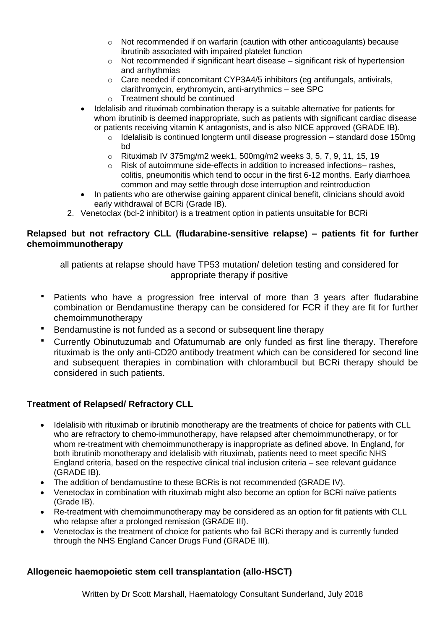- $\circ$  Not recommended if on warfarin (caution with other anticoagulants) because ibrutinib associated with impaired platelet function
- $\circ$  Not recommended if significant heart disease significant risk of hypertension and arrhythmias
- o Care needed if concomitant CYP3A4/5 inhibitors (eg antifungals, antivirals, clarithromycin, erythromycin, anti-arrythmics – see SPC
- o Treatment should be continued
- Idelalisib and rituximab combination therapy is a suitable alternative for patients for whom ibrutinib is deemed inappropriate, such as patients with significant cardiac disease or patients receiving vitamin K antagonists, and is also NICE approved (GRADE IB).
	- o Idelalisib is continued longterm until disease progression standard dose 150mg bd
	- o Rituximab IV 375mg/m2 week1, 500mg/m2 weeks 3, 5, 7, 9, 11, 15, 19
	- $\circ$  Risk of autoimmune side-effects in addition to increased infections– rashes, colitis, pneumonitis which tend to occur in the first 6-12 months. Early diarrhoea common and may settle through dose interruption and reintroduction
- In patients who are otherwise gaining apparent clinical benefit, clinicians should avoid early withdrawal of BCRi (Grade IB).
- 2. Venetoclax (bcl-2 inhibitor) is a treatment option in patients unsuitable for BCRi

#### **Relapsed but not refractory CLL (fludarabine-sensitive relapse) – patients fit for further chemoimmunotherapy**

all patients at relapse should have TP53 mutation/ deletion testing and considered for appropriate therapy if positive

- Patients who have a progression free interval of more than 3 years after fludarabine combination or Bendamustine therapy can be considered for FCR if they are fit for further chemoimmunotherapy
- Bendamustine is not funded as a second or subsequent line therapy
- Currently Obinutuzumab and Ofatumumab are only funded as first line therapy. Therefore rituximab is the only anti-CD20 antibody treatment which can be considered for second line and subsequent therapies in combination with chlorambucil but BCRi therapy should be considered in such patients.

## **Treatment of Relapsed/ Refractory CLL**

- Idelalisib with rituximab or ibrutinib monotherapy are the treatments of choice for patients with CLL who are refractory to chemo-immunotherapy, have relapsed after chemoimmunotherapy, or for whom re-treatment with chemoimmunotherapy is inappropriate as defined above. In England, for both ibrutinib monotherapy and idelalisib with rituximab, patients need to meet specific NHS England criteria, based on the respective clinical trial inclusion criteria – see relevant guidance (GRADE IB).
- The addition of bendamustine to these BCRis is not recommended (GRADE IV).
- Venetoclax in combination with rituximab might also become an option for BCRi naïve patients (Grade IB).
- Re-treatment with chemoimmunotherapy may be considered as an option for fit patients with CLL who relapse after a prolonged remission (GRADE III).
- Venetoclax is the treatment of choice for patients who fail BCRi therapy and is currently funded through the NHS England Cancer Drugs Fund (GRADE III).

#### **Allogeneic haemopoietic stem cell transplantation (allo-HSCT)**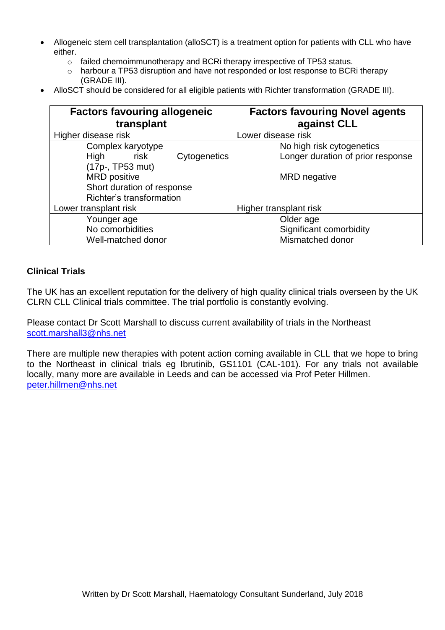- Allogeneic stem cell transplantation (alloSCT) is a treatment option for patients with CLL who have either.
	- o failed chemoimmunotherapy and BCRi therapy irrespective of TP53 status.
	- o harbour a TP53 disruption and have not responded or lost response to BCRi therapy (GRADE III).
- AlloSCT should be considered for all eligible patients with Richter transformation (GRADE III).

| <b>Factors favouring allogeneic</b><br>transplant | <b>Factors favouring Novel agents</b><br>against CLL |
|---------------------------------------------------|------------------------------------------------------|
| Higher disease risk                               | Lower disease risk                                   |
| Complex karyotype                                 | No high risk cytogenetics                            |
| Cytogenetics<br><b>High</b><br>risk               | Longer duration of prior response                    |
| (17p-, TP53 mut)                                  |                                                      |
| <b>MRD</b> positive                               | <b>MRD</b> negative                                  |
| Short duration of response                        |                                                      |
| Richter's transformation                          |                                                      |
| Lower transplant risk                             | Higher transplant risk                               |
| Younger age                                       | Older age                                            |
| No comorbidities                                  | Significant comorbidity                              |
| Well-matched donor                                | Mismatched donor                                     |

#### **Clinical Trials**

The UK has an excellent reputation for the delivery of high quality clinical trials overseen by the UK CLRN CLL Clinical trials committee. The trial portfolio is constantly evolving.

Please contact Dr Scott Marshall to discuss current availability of trials in the Northeast [scott.marshall3@nhs.net](mailto:scott.marshall3@nhs.net)

There are multiple new therapies with potent action coming available in CLL that we hope to bring to the Northeast in clinical trials eg Ibrutinib, GS1101 (CAL-101). For any trials not available locally, many more are available in Leeds and can be accessed via Prof Peter Hillmen. [peter.hillmen@nhs.net](mailto:peter.hillmen@nhs.net)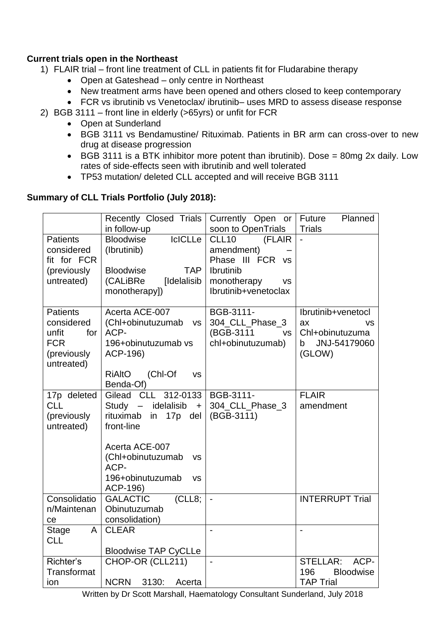### **Current trials open in the Northeast**

- 1) FLAIR trial front line treatment of CLL in patients fit for Fludarabine therapy
	- Open at Gateshead only centre in Northeast
	- New treatment arms have been opened and others closed to keep contemporary
	- FCR vs ibrutinib vs Venetoclax/ ibrutinib– uses MRD to assess disease response
- 2) BGB 3111 front line in elderly (>65yrs) or unfit for FCR
	- Open at Sunderland
	- BGB 3111 vs Bendamustine/ Rituximab. Patients in BR arm can cross-over to new drug at disease progression
	- BGB 3111 is a BTK inhibitor more potent than ibrutinib). Dose = 80mg 2x daily. Low rates of side-effects seen with ibrutinib and well tolerated
	- TP53 mutation/ deleted CLL accepted and will receive BGB 3111

### **Summary of CLL Trials Portfolio (July 2018):**

|                                                                                          | Recently Closed Trials<br>in follow-up                                                                                                                                                                                                     | Currently Open or<br>soon to OpenTrials                                           | Future<br>Planned<br><b>Trials</b>                                                      |
|------------------------------------------------------------------------------------------|--------------------------------------------------------------------------------------------------------------------------------------------------------------------------------------------------------------------------------------------|-----------------------------------------------------------------------------------|-----------------------------------------------------------------------------------------|
| <b>Patients</b><br>considered<br>fit for FCR<br>(previously                              | <b>IcICLLe</b><br><b>Bloodwise</b><br>(Ibrutinib)<br><b>Bloodwise</b><br><b>TAP</b>                                                                                                                                                        | CLL <sub>10</sub><br>(FLAIR<br>amendment)<br>Phase III FCR vs<br><b>Ibrutinib</b> |                                                                                         |
| untreated)                                                                               | [Idelalisib<br>(CALiBRe<br>monotherapy])                                                                                                                                                                                                   | monotherapy<br><b>VS</b><br>Ibrutinib+venetoclax                                  |                                                                                         |
| <b>Patients</b><br>considered<br>unfit<br>for<br><b>FCR</b><br>(previously<br>untreated) | Acerta ACE-007<br>(Chl+obinutuzumab<br><b>VS</b><br>ACP-<br>196+obinutuzumab vs<br>ACP-196)<br>(Chl-Of<br><b>RiAltO</b><br><b>VS</b><br>Benda-Of)                                                                                          | BGB-3111-<br>304_CLL_Phase_3<br>(BGB-3111<br><b>VS</b><br>chl+obinutuzumab)       | Ibrutinib+venetocl<br>ax<br><b>VS</b><br>Chl+obinutuzuma<br>JNJ-54179060<br>b<br>(GLOW) |
| 17p deleted<br><b>CLL</b><br>(previously<br>untreated)                                   | CL<br>312-0133<br>Gilead<br>idelalisib<br>Study<br>$\overline{\phantom{m}}$<br>$+$<br>rituximab<br>17p<br>in<br>del<br>front-line<br>Acerta ACE-007<br>(Chl+obinutuzumab<br><b>VS</b><br>ACP-<br>196+obinutuzumab<br><b>VS</b><br>ACP-196) | BGB-3111-<br>304_CLL_Phase_3<br>(BGB-3111)                                        | <b>FLAIR</b><br>amendment                                                               |
| Consolidatio<br>n/Maintenan<br>ce                                                        | <b>GALACTIC</b><br>(CLL8;<br>Obinutuzumab<br>consolidation)                                                                                                                                                                                | $\overline{a}$                                                                    | <b>INTERRUPT Trial</b>                                                                  |
| A<br><b>Stage</b><br><b>CLL</b>                                                          | <b>CLEAR</b><br><b>Bloodwise TAP CyCLLe</b>                                                                                                                                                                                                |                                                                                   |                                                                                         |
| Richter's<br>Transformat<br>ion                                                          | CHOP-OR (CLL211)<br><b>NCRN</b><br>3130:<br>Acerta                                                                                                                                                                                         | $\overline{a}$                                                                    | STELLAR:<br>ACP-<br>196<br><b>Bloodwise</b><br><b>TAP Trial</b>                         |

Written by Dr Scott Marshall, Haematology Consultant Sunderland, July 2018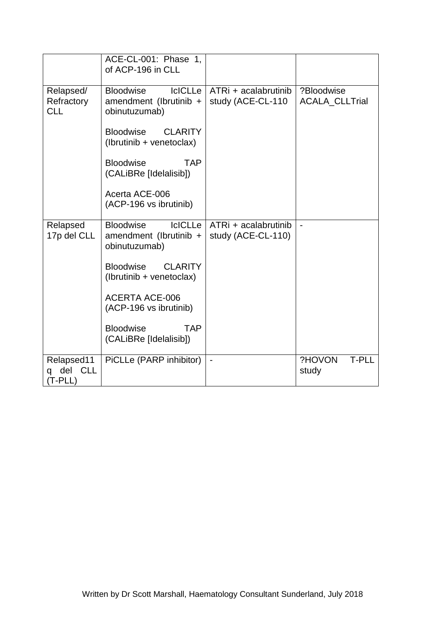|                                         | ACE-CL-001: Phase 1.<br>of ACP-196 in CLL                                     |                                            |                                     |
|-----------------------------------------|-------------------------------------------------------------------------------|--------------------------------------------|-------------------------------------|
| Relapsed/<br>Refractory<br><b>CLL</b>   | <b>IcICLLe</b><br><b>Bloodwise</b><br>amendment (Ibrutinib +<br>obinutuzumab) | ATRi + acalabrutinib<br>study (ACE-CL-110  | ?Bloodwise<br><b>ACALA CLLTrial</b> |
|                                         | <b>Bloodwise</b><br><b>CLARITY</b><br>(Ibrutinib + venetoclax)                |                                            |                                     |
|                                         | <b>Bloodwise</b><br><b>TAP</b><br>(CALiBRe [Idelalisib])                      |                                            |                                     |
|                                         | Acerta ACE-006<br>(ACP-196 vs ibrutinib)                                      |                                            |                                     |
| Relapsed<br>17p del CLL                 | <b>IcICLLe</b><br><b>Bloodwise</b><br>amendment (Ibrutinib +<br>obinutuzumab) | ATRi + acalabrutinib<br>study (ACE-CL-110) | $\overline{a}$                      |
|                                         | <b>Bloodwise</b><br><b>CLARITY</b><br>(Ibrutinib + venetoclax)                |                                            |                                     |
|                                         | <b>ACERTA ACE-006</b><br>(ACP-196 vs ibrutinib)                               |                                            |                                     |
|                                         | <b>TAP</b><br><b>Bloodwise</b><br>(CALiBRe [Idelalisib])                      |                                            |                                     |
| Relapsed11<br>del CLL<br>q<br>$(T-PLL)$ | PiCLLe (PARP inhibitor)                                                       | $\blacksquare$                             | ?HOVON<br><b>T-PLL</b><br>study     |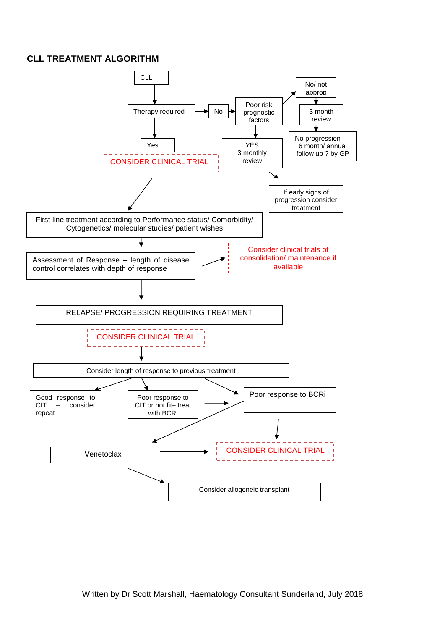#### **CLL TREATMENT ALGORITHM**

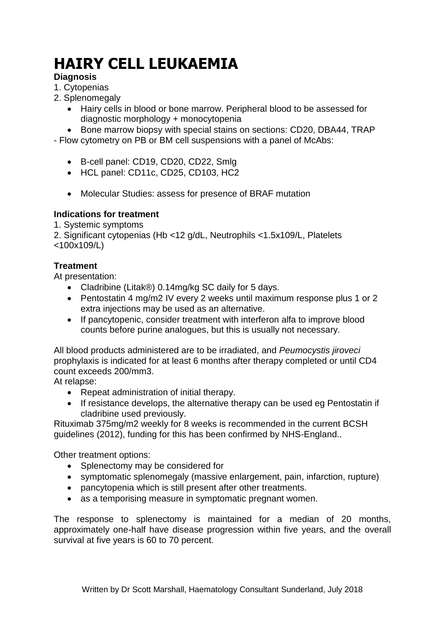# **HAIRY CELL LEUKAEMIA**

## **Diagnosis**

- 1. Cytopenias
- 2. Splenomegaly
	- Hairy cells in blood or bone marrow. Peripheral blood to be assessed for diagnostic morphology + monocytopenia
	- Bone marrow biopsy with special stains on sections: CD20, DBA44, TRAP

- Flow cytometry on PB or BM cell suspensions with a panel of McAbs:

- B-cell panel: CD19, CD20, CD22, Smlg
- HCL panel: CD11c, CD25, CD103, HC2
- Molecular Studies: assess for presence of BRAF mutation

### **Indications for treatment**

1. Systemic symptoms

2. Significant cytopenias (Hb <12 g/dL, Neutrophils <1.5x109/L, Platelets <100x109/L)

### **Treatment**

At presentation:

- Cladribine (Litak®) 0.14mg/kg SC daily for 5 days.
- Pentostatin 4 mg/m2 IV every 2 weeks until maximum response plus 1 or 2 extra injections may be used as an alternative.
- If pancytopenic, consider treatment with interferon alfa to improve blood counts before purine analogues, but this is usually not necessary.

All blood products administered are to be irradiated, and *Peumocystis jiroveci*  prophylaxis is indicated for at least 6 months after therapy completed or until CD4 count exceeds 200/mm3.

At relapse:

- Repeat administration of initial therapy.
- If resistance develops, the alternative therapy can be used eg Pentostatin if cladribine used previously.

Rituximab 375mg/m2 weekly for 8 weeks is recommended in the current BCSH guidelines (2012), funding for this has been confirmed by NHS-England..

Other treatment options:

- Splenectomy may be considered for
- symptomatic splenomegaly (massive enlargement, pain, infarction, rupture)
- pancytopenia which is still present after other treatments.
- as a temporising measure in symptomatic pregnant women.

The response to splenectomy is maintained for a median of 20 months, approximately one-half have disease progression within five years, and the overall survival at five years is 60 to 70 percent.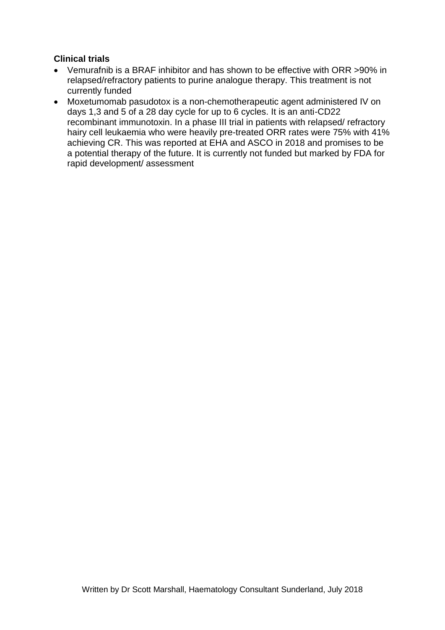#### **Clinical trials**

- Vemurafnib is a BRAF inhibitor and has shown to be effective with ORR >90% in relapsed/refractory patients to purine analogue therapy. This treatment is not currently funded
- Moxetumomab pasudotox is a non-chemotherapeutic agent administered IV on days 1,3 and 5 of a 28 day cycle for up to 6 cycles. It is an anti-CD22 recombinant immunotoxin. In a phase III trial in patients with relapsed/ refractory hairy cell leukaemia who were heavily pre-treated ORR rates were 75% with 41% achieving CR. This was reported at EHA and ASCO in 2018 and promises to be a potential therapy of the future. It is currently not funded but marked by FDA for rapid development/ assessment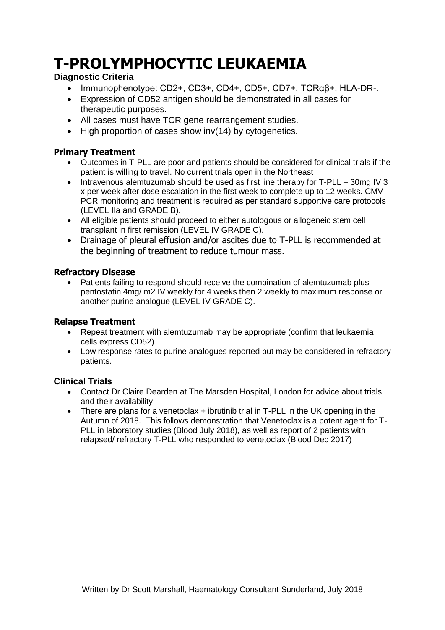## **T-PROLYMPHOCYTIC LEUKAEMIA**

#### **Diagnostic Criteria**

- Immunophenotype: CD2+, CD3+, CD4+, CD5+, CD7+, TCRαβ+, HLA-DR-.
- Expression of CD52 antigen should be demonstrated in all cases for therapeutic purposes.
- All cases must have TCR gene rearrangement studies.
- High proportion of cases show inv(14) by cytogenetics.

#### **Primary Treatment**

- Outcomes in T-PLL are poor and patients should be considered for clinical trials if the patient is willing to travel. No current trials open in the Northeast
- Intravenous alemtuzumab should be used as first line therapy for T-PLL 30mg IV 3 x per week after dose escalation in the first week to complete up to 12 weeks. CMV PCR monitoring and treatment is required as per standard supportive care protocols (LEVEL IIa and GRADE B).
- All eligible patients should proceed to either autologous or allogeneic stem cell transplant in first remission (LEVEL IV GRADE C).
- Drainage of pleural effusion and/or ascites due to T-PLL is recommended at the beginning of treatment to reduce tumour mass.

#### **Refractory Disease**

 Patients failing to respond should receive the combination of alemtuzumab plus pentostatin 4mg/ m2 IV weekly for 4 weeks then 2 weekly to maximum response or another purine analogue (LEVEL IV GRADE C).

#### **Relapse Treatment**

- Repeat treatment with alemtuzumab may be appropriate (confirm that leukaemia cells express CD52)
- Low response rates to purine analogues reported but may be considered in refractory patients.

#### **Clinical Trials**

- Contact Dr Claire Dearden at The Marsden Hospital, London for advice about trials and their availability
- There are plans for a venetoclax + ibrutinib trial in T-PLL in the UK opening in the Autumn of 2018. This follows demonstration that Venetoclax is a potent agent for T-PLL in laboratory studies (Blood July 2018), as well as report of 2 patients with relapsed/ refractory T-PLL who responded to venetoclax (Blood Dec 2017)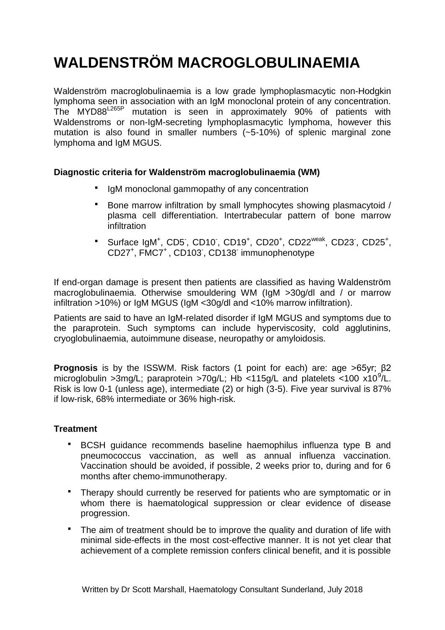## **WALDENSTRÖM MACROGLOBULINAEMIA**

Waldenström macroglobulinaemia is a low grade lymphoplasmacytic non-Hodgkin lymphoma seen in association with an IgM monoclonal protein of any concentration. The MYD88L265P mutation is seen in approximately 90% of patients with Waldenstroms or non-IgM-secreting lymphoplasmacytic lymphoma, however this mutation is also found in smaller numbers (~5-10%) of splenic marginal zone lymphoma and IgM MGUS.

#### **Diagnostic criteria for Waldenström macroglobulinaemia (WM)**

- IgM monoclonal gammopathy of any concentration
- Bone marrow infiltration by small lymphocytes showing plasmacytoid / plasma cell differentiation. Intertrabecular pattern of bone marrow infiltration
- \* Surface IgM<sup>+</sup>, CD5<sup>-</sup>, CD10<sup>-</sup>, CD19<sup>+</sup>, CD20<sup>+</sup>, CD22<sup>weak</sup>, CD23<sup>-</sup>, CD25<sup>+</sup>, CD27<sup>+</sup>, FMC7<sup>+</sup>, CD103<sup>-</sup>, CD138<sup>-</sup> immunophenotype

If end-organ damage is present then patients are classified as having Waldenström macroglobulinaemia. Otherwise smouldering WM (IgM >30g/dl and / or marrow infiltration >10%) or IgM MGUS (IgM <30g/dl and <10% marrow infiltration).

Patients are said to have an IgM-related disorder if IgM MGUS and symptoms due to the paraprotein. Such symptoms can include hyperviscosity, cold agglutinins, cryoglobulinaemia, autoimmune disease, neuropathy or amyloidosis.

**Prognosis** is by the ISSWM. Risk factors (1 point for each) are: age >65yr; β2 microglobulin > 3mg/L; paraprotein > 70g/L; Hb < 115g/L and platelets < 100 x10<sup>9</sup>/L. Risk is low 0-1 (unless age), intermediate (2) or high (3-5). Five year survival is 87% if low-risk, 68% intermediate or 36% high-risk.

#### **Treatment**

- BCSH guidance recommends baseline haemophilus influenza type B and pneumococcus vaccination, as well as annual influenza vaccination. Vaccination should be avoided, if possible, 2 weeks prior to, during and for 6 months after chemo-immunotherapy.
- Therapy should currently be reserved for patients who are symptomatic or in whom there is haematological suppression or clear evidence of disease progression.
- The aim of treatment should be to improve the quality and duration of life with minimal side-effects in the most cost-effective manner. It is not yet clear that achievement of a complete remission confers clinical benefit, and it is possible